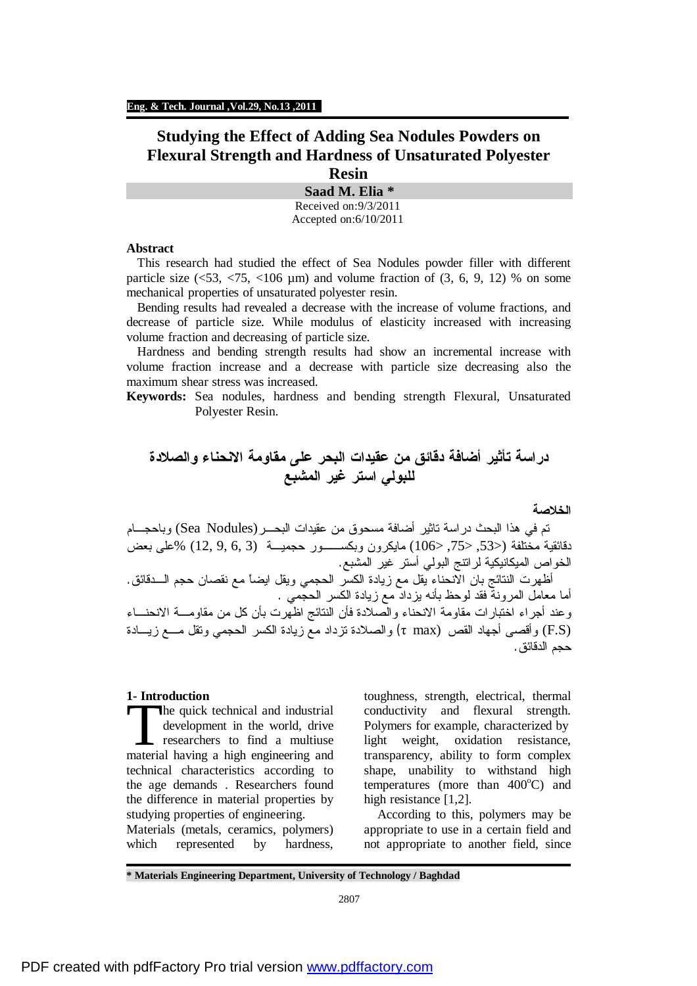# **Studying the Effect of Adding Sea Nodules Powders on Flexural Strength and Hardness of Unsaturated Polyester Resin**

**Saad M. Elia \*** Received on:9/3/2011 Accepted on:6/10/2011

## **Abstract**

This research had studied the effect of Sea Nodules powder filler with different particle size  $\langle 53, 53, 106 \mu \text{m} \rangle$  and volume fraction of  $(3, 6, 9, 12)$  % on some mechanical properties of unsaturated polyester resin.

Bending results had revealed a decrease with the increase of volume fractions, and decrease of particle size. While modulus of elasticity increased with increasing volume fraction and decreasing of particle size.

Hardness and bending strength results had show an incremental increase with volume fraction increase and a decrease with particle size decreasing also the maximum shear stress was increased.

**Keywords:** Sea nodules, hardness and bending strength Flexural, Unsaturated Polyester Resin.

**دراسة تأثير أضافة دقائق من عقيدات البحر على مقاومة الانحناء والصلادة للبولي استر غير المشبع**

### **الخلاصة**

تم في هذا البحث دراسة تاثير أضافة مسحوق من عقيدات البحـــر(Sea Nodules) وباحجـــام دقائقية مختلفة (<,53 <,75 <106) مايكرون وبكســور حجميـة (3 6, 9, 12,) %على بعض الخواص الميكانيكية لراتنج البولي أستر غير المشبع. أظهرت النتائج بان الانحناء يقل مع زيادة الكسر الحجمي ويقل ايضاً مع نقصان حجم الـدقائق. أما معامل المرونة فقد لوحظ بأنه يزداد مع زيادة الكسر الحجمي . وعند أجراء اختبارات مقاومة الانحناء والصلادة فأن النتائج اظهرت بأن كل من مقاومـة الانحنـاء (S.F (وأقصى أجهاد القص (max τ (والصلادة تزداد مع زيادة الكسر الحجمي وتقل مـع زيـادة حجم الدقائق.

# **1- Introduction**

he quick technical and industrial development in the world, drive researchers to find a multiuse The quick technical and industrial<br>development in the world, drive<br>researchers to find a multiuse<br>material having a high engineering and technical characteristics according to the age demands . Researchers found the difference in material properties by studying properties of engineering.

Materials (metals, ceramics, polymers) which represented by hardness,

toughness, strength, electrical, thermal conductivity and flexural strength. Polymers for example, characterized by light weight, oxidation resistance, transparency, ability to form complex shape, unability to withstand high temperatures (more than  $400^{\circ}$ C) and high resistance [1,2].

 According to this, polymers may be appropriate to use in a certain field and not appropriate to another field, since

**\* Materials Engineering Department, University of Technology / Baghdad**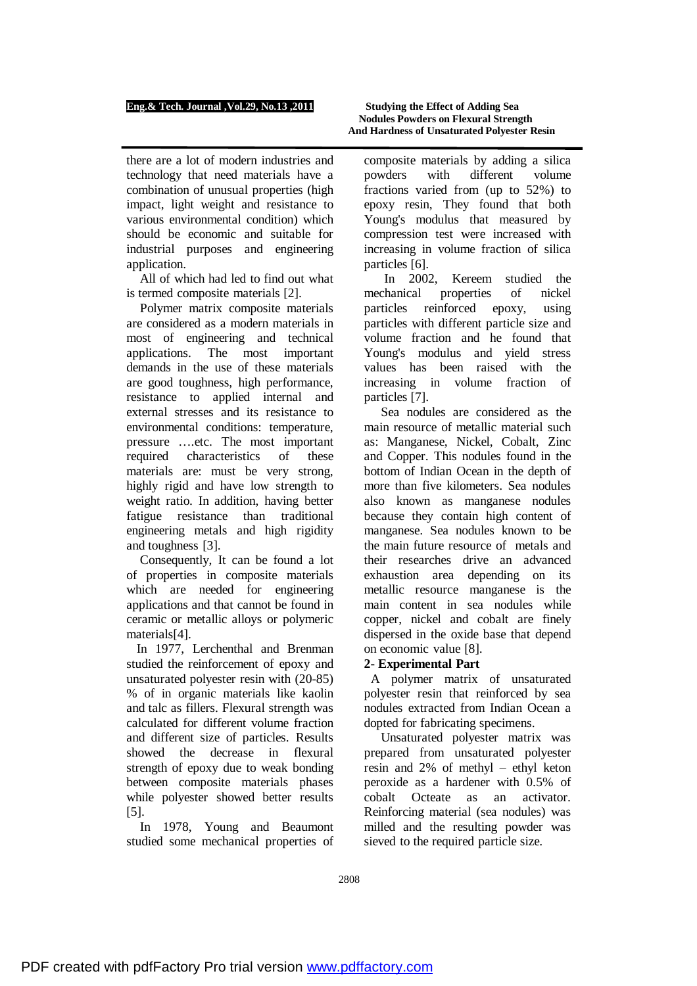there are a lot of modern industries and technology that need materials have a combination of unusual properties (high impact, light weight and resistance to various environmental condition) which should be economic and suitable for industrial purposes and engineering application.

 All of which had led to find out what is termed composite materials [2].

 Polymer matrix composite materials are considered as a modern materials in most of engineering and technical applications. The most important demands in the use of these materials are good toughness, high performance, resistance to applied internal and external stresses and its resistance to environmental conditions: temperature, pressure ….etc. The most important required characteristics of these materials are: must be very strong, highly rigid and have low strength to weight ratio. In addition, having better fatigue resistance than traditional engineering metals and high rigidity and toughness [3].

 Consequently, It can be found a lot of properties in composite materials which are needed for engineering applications and that cannot be found in ceramic or metallic alloys or polymeric materials[4].

 In 1977, Lerchenthal and Brenman studied the reinforcement of epoxy and unsaturated polyester resin with (20-85) % of in organic materials like kaolin and talc as fillers. Flexural strength was calculated for different volume fraction and different size of particles. Results showed the decrease in flexural strength of epoxy due to weak bonding between composite materials phases while polyester showed better results [5].

 In 1978, Young and Beaumont studied some mechanical properties of

composite materials by adding a silica powders with different volume fractions varied from (up to 52%) to epoxy resin, They found that both Young's modulus that measured by compression test were increased with increasing in volume fraction of silica particles [6].

 In 2002, Kereem studied the mechanical properties of nickel particles reinforced epoxy, using particles with different particle size and volume fraction and he found that Young's modulus and yield stress values has been raised with the increasing in volume fraction of particles [7].

 Sea nodules are considered as the main resource of metallic material such as: Manganese, Nickel, Cobalt, Zinc and Copper. This nodules found in the bottom of Indian Ocean in the depth of more than five kilometers. Sea nodules also known as manganese nodules because they contain high content of manganese. Sea nodules known to be the main future resource of metals and their researches drive an advanced exhaustion area depending on its metallic resource manganese is the main content in sea nodules while copper, nickel and cobalt are finely dispersed in the oxide base that depend on economic value [8].

# **2- Experimental Part**

 A polymer matrix of unsaturated polyester resin that reinforced by sea nodules extracted from Indian Ocean a dopted for fabricating specimens.

 Unsaturated polyester matrix was prepared from unsaturated polyester resin and 2% of methyl – ethyl keton peroxide as a hardener with 0.5% of cobalt Octeate as an activator. Reinforcing material (sea nodules) was milled and the resulting powder was sieved to the required particle size.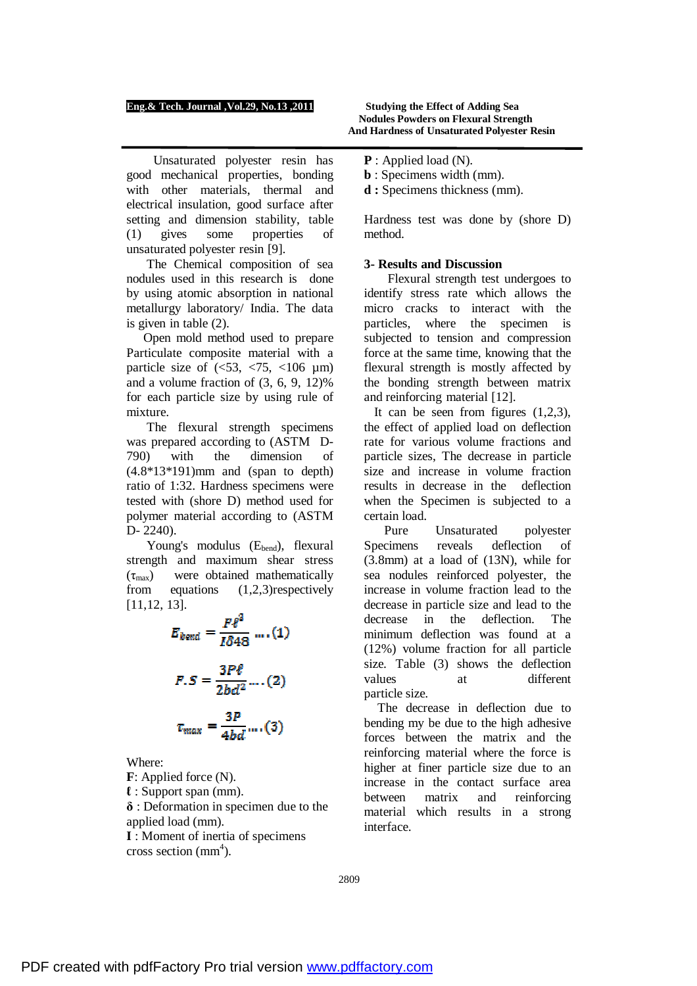Unsaturated polyester resin has good mechanical properties, bonding with other materials, thermal and electrical insulation, good surface after setting and dimension stability, table (1) gives some properties of unsaturated polyester resin [9].

 The Chemical composition of sea nodules used in this research is done by using atomic absorption in national metallurgy laboratory/ India. The data is given in table (2).

 Open mold method used to prepare Particulate composite material with a particle size of  $\langle$  <53, <75, <106 µm) and a volume fraction of (3, 6, 9, 12)% for each particle size by using rule of mixture.

 The flexural strength specimens was prepared according to (ASTM D-790) with the dimension of (4.8\*13\*191)mm and (span to depth) ratio of 1:32. Hardness specimens were tested with (shore D) method used for polymer material according to (ASTM D- 2240).

Young's modulus  $(E_{bend})$ , flexural strength and maximum shear stress  $(\tau_{\text{max}})$  were obtained mathematically from equations (1,2,3)respectively [11,12, 13].

$$
E_{bend} = \frac{F\ell^3}{I\delta 48} \dots (1)
$$

$$
F.S = \frac{3P\ell}{2bd^2} \dots (2)
$$

$$
\tau_{max} = \frac{3P}{4bd} \dots (3)
$$

Where:

**F**: Applied force (N). **ℓ** : Support span (mm). **δ** : Deformation in specimen due to the applied load (mm). **I** : Moment of inertia of specimens cross section  $(mm<sup>4</sup>)$ .

- **P** : Applied load (N).
- **b** : Specimens width (mm).

**d :** Specimens thickness (mm).

Hardness test was done by (shore D) method.

# **3- Results and Discussion**

 Flexural strength test undergoes to identify stress rate which allows the micro cracks to interact with the particles, where the specimen is subjected to tension and compression force at the same time, knowing that the flexural strength is mostly affected by the bonding strength between matrix and reinforcing material [12].

It can be seen from figures  $(1,2,3)$ , the effect of applied load on deflection rate for various volume fractions and particle sizes, The decrease in particle size and increase in volume fraction results in decrease in the deflection when the Specimen is subjected to a certain load.

 Pure Unsaturated polyester Specimens reveals deflection of (3.8mm) at a load of (13N), while for sea nodules reinforced polyester, the increase in volume fraction lead to the decrease in particle size and lead to the decrease in the deflection. The minimum deflection was found at a (12%) volume fraction for all particle size. Table (3) shows the deflection values at different particle size.

 The decrease in deflection due to bending my be due to the high adhesive forces between the matrix and the reinforcing material where the force is higher at finer particle size due to an increase in the contact surface area between matrix and reinforcing material which results in a strong interface.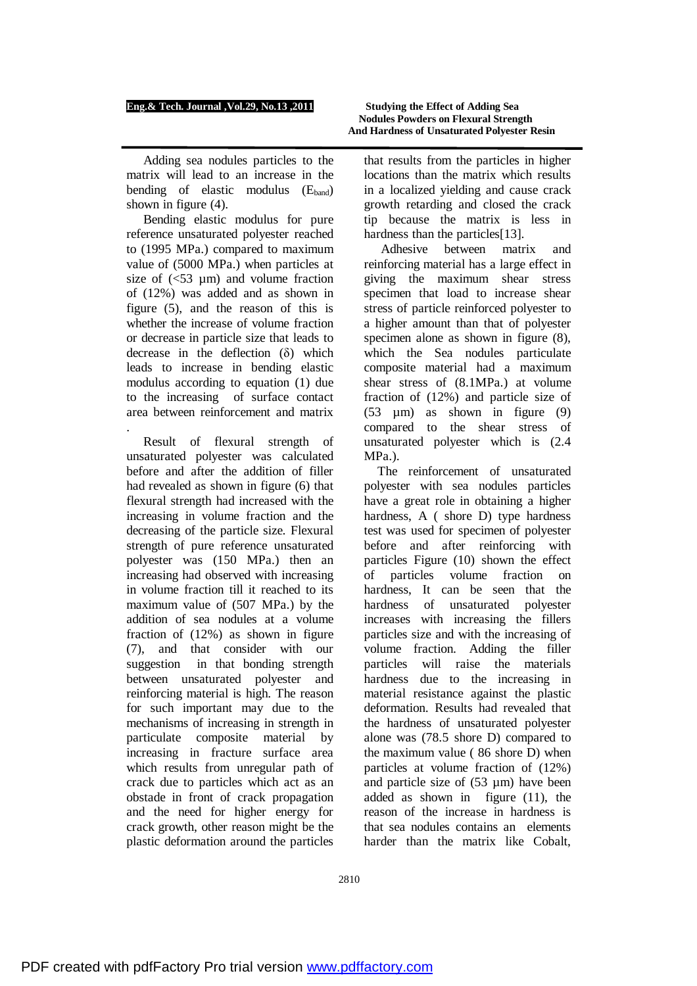Adding sea nodules particles to the matrix will lead to an increase in the bending of elastic modulus  $(E_{band})$ shown in figure (4).

 Bending elastic modulus for pure reference unsaturated polyester reached to (1995 MPa.) compared to maximum value of (5000 MPa.) when particles at size of  $\left( \leq 53 \right)$  um) and volume fraction of (12%) was added and as shown in figure (5), and the reason of this is whether the increase of volume fraction or decrease in particle size that leads to decrease in the deflection (δ) which leads to increase in bending elastic modulus according to equation (1) due to the increasing of surface contact area between reinforcement and matrix .

 Result of flexural strength of unsaturated polyester was calculated before and after the addition of filler had revealed as shown in figure (6) that flexural strength had increased with the increasing in volume fraction and the decreasing of the particle size. Flexural strength of pure reference unsaturated polyester was (150 MPa.) then an increasing had observed with increasing in volume fraction till it reached to its maximum value of (507 MPa.) by the addition of sea nodules at a volume fraction of (12%) as shown in figure (7), and that consider with our suggestion in that bonding strength between unsaturated polyester and reinforcing material is high. The reason for such important may due to the mechanisms of increasing in strength in particulate composite material by increasing in fracture surface area which results from unregular path of crack due to particles which act as an obstade in front of crack propagation and the need for higher energy for crack growth, other reason might be the plastic deformation around the particles

that results from the particles in higher locations than the matrix which results in a localized yielding and cause crack growth retarding and closed the crack tip because the matrix is less in hardness than the particles<sup>[13]</sup>.

 Adhesive between matrix and reinforcing material has a large effect in giving the maximum shear stress specimen that load to increase shear stress of particle reinforced polyester to a higher amount than that of polyester specimen alone as shown in figure (8), which the Sea nodules particulate composite material had a maximum shear stress of (8.1MPa.) at volume fraction of (12%) and particle size of (53 µm) as shown in figure (9) compared to the shear stress of unsaturated polyester which is (2.4 MPa.).

 The reinforcement of unsaturated polyester with sea nodules particles have a great role in obtaining a higher hardness, A ( shore D) type hardness test was used for specimen of polyester before and after reinforcing with particles Figure (10) shown the effect of particles volume fraction on hardness, It can be seen that the hardness of unsaturated polyester increases with increasing the fillers particles size and with the increasing of volume fraction. Adding the filler particles will raise the materials hardness due to the increasing in material resistance against the plastic deformation. Results had revealed that the hardness of unsaturated polyester alone was (78.5 shore D) compared to the maximum value ( 86 shore D) when particles at volume fraction of (12%) and particle size of  $(53 \mu m)$  have been added as shown in figure (11), the reason of the increase in hardness is that sea nodules contains an elements harder than the matrix like Cobalt,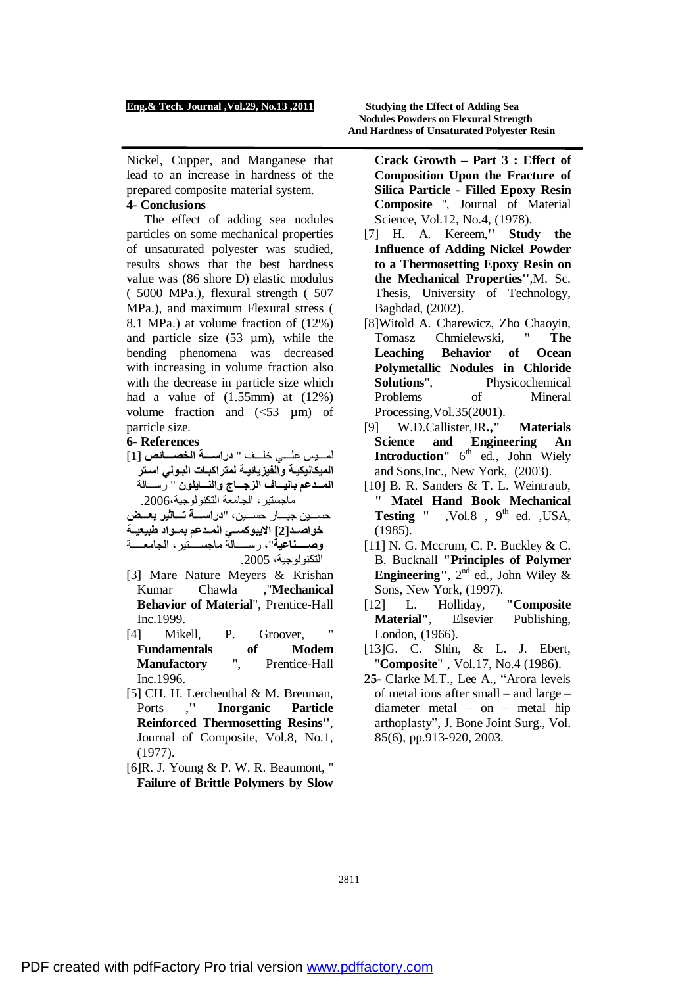Nickel, Cupper, and Manganese that lead to an increase in hardness of the prepared composite material system.

# **4- Conclusions**

 The effect of adding sea nodules particles on some mechanical properties of unsaturated polyester was studied, results shows that the best hardness value was (86 shore D) elastic modulus ( 5000 MPa.), flexural strength ( 507 MPa.), and maximum Flexural stress ( 8.1 MPa.) at volume fraction of (12%) and particle size  $(53 \mu m)$ , while the bending phenomena was decreased with increasing in volume fraction also with the decrease in particle size which had a value of  $(1.55mm)$  at  $(12%)$ volume fraction and  $\left(\leq 53 \text{ }\mu\text{m}\right)$  of particle size.

# **6- References**

لم یس عل ي خل ف " **دراس ة الخص ائص** [1] **المیكانیكی ة والفیزیائی ة لمتراكب ات الب ولي اس تر الم دعم بالی اف الزج اج والن ایلون** " رس الة ماجستیر، الجامعة التكنولوجیة.2006، حس ین جب ار حس ین، "**دراس ة ت اثیر بع ض**

**خواص د[2] الایبوكس ي الم دعم بم واد طبیعی ة وص ناعیة**"، رس الة ماجس تیر، الجامع ة

- التكنولوجیة، .2005 [3] Mare Nature Meyers & Krishan
- Kumar Chawla ,"**Mechanical Behavior of Material**", Prentice-Hall Inc.1999.
- [4] Mikell, P. Groover, **Fundamentals of Modem Manufactory** ", Prentice-Hall Inc.1996.
- [5] CH. H. Lerchenthal & M. Brenman, Ports ,**'' Inorganic Particle Reinforced Thermosetting Resins''**, Journal of Composite, Vol.8, No.1, (1977).
- [6]R. J. Young & P. W. R. Beaumont, '' **Failure of Brittle Polymers by Slow**
- **Crack Growth – Part 3 : Effect of Composition Upon the Fracture of Silica Particle - Filled Epoxy Resin Composite** '', Journal of Material Science, Vol.12, No.4, (1978).
- [7] H. A. Kereem,**'' Study the Influence of Adding Nickel Powder to a Thermosetting Epoxy Resin on the Mechanical Properties''**,M. Sc. Thesis, University of Technology, Baghdad, (2002).
- [8]Witold A. Charewicz, Zho Chaoyin, Tomasz Chmielewski, " **The Leaching Behavior of Ocean Polymetallic Nodules in Chloride Solutions**", Physicochemical Problems of Mineral Processing,Vol.35(2001).
- [9] W.D.Callister,JR**.," Materials Science and Engineering An Introduction**" 6<sup>th</sup> ed., John Wiely and Sons,Inc., New York, (2003).
- [10] B. R. Sanders & T. L. Weintraub, **" Matel Hand Book Mechanical Testing "**  $\sqrt{6}$ ,  $\sqrt{6}$ ,  $\theta$ <sup>th</sup> ed.  $\sqrt{6}$ , USA, (1985).
- $[11]$  N. G. Mccrum, C. P. Buckley & C. B. Bucknall **"Principles of Polymer Engineering"**,  $2^{nd}$  ed., John Wiley & Sons, New York, (1997).
- [12] L. Holliday, **"Composite Material"**, Elsevier Publishing, London, (1966).
- [13]G. C. Shin, & L. J. Ebert, "**Composite**" , Vol.17, No.4 (1986).
- **25-** Clarke M.T., Lee A., "Arora levels of metal ions after small – and large – diameter metal – on – metal hip arthoplasty", J. Bone Joint Surg., Vol. 85(6), pp.913-920, 2003.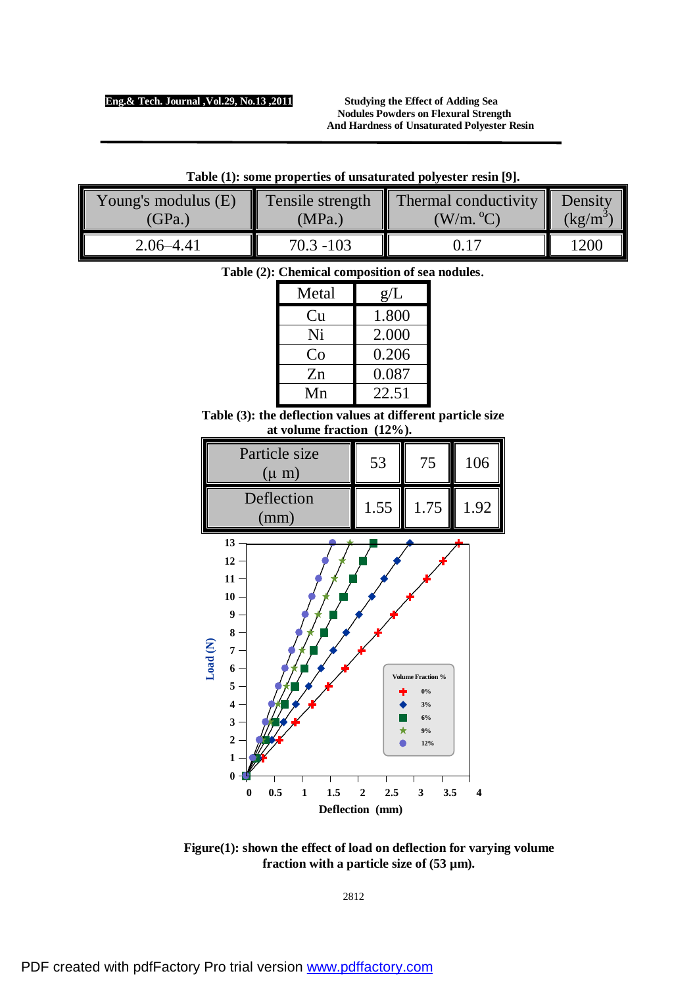**Nodules Powders on Flexural Strength And Hardness of Unsaturated Polyester Resin** 

| Young's modulus (E) | MPa.`        | Tensile strength $\parallel$ Thermal conductivity $\parallel$ | Density                     |
|---------------------|--------------|---------------------------------------------------------------|-----------------------------|
| (GPa.)              |              | $(W/m.^oC)$                                                   | $\left(\frac{kg}{m}\right)$ |
| $2.06 - 4.41$       | $70.3 - 103$ |                                                               | 1200                        |

| Table (1): some properties of unsaturated polyester resin [9]. |  |
|----------------------------------------------------------------|--|
|----------------------------------------------------------------|--|

| Table (2): Chemical composition of sea nodules. |  |
|-------------------------------------------------|--|
|-------------------------------------------------|--|

| Metal | g/L   |  |
|-------|-------|--|
| Cu    | 1.800 |  |
| Ni    | 2.000 |  |
| Co    | 0.206 |  |
| Zn    | 0.087 |  |
| Mn    | 22.51 |  |

**Table (3): the deflection values at different particle size at volume fraction (12%).**

| Particle size<br>$(\mu m)$       | 53   | 75   | 106  |
|----------------------------------|------|------|------|
| Deflection<br>$\text{m}\text{m}$ | 1.55 | 1.75 | 1.92 |



**Figure(1): shown the effect of load on deflection for varying volume fraction with a particle size of (53 µm).**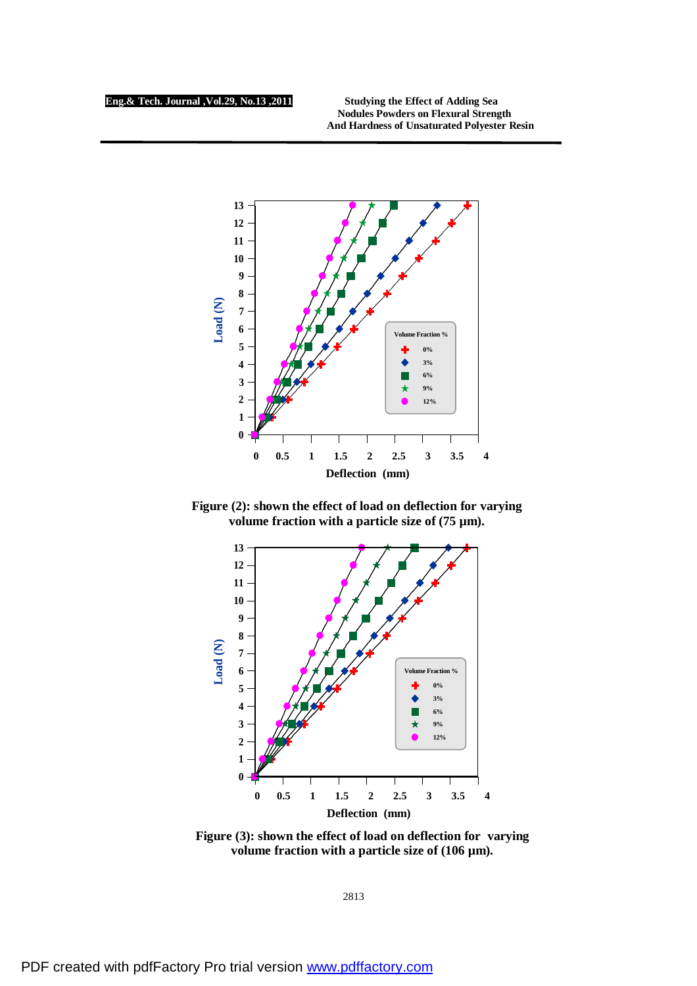**Nodules Powders on Flexural Strength And Hardness of Unsaturated Polyester Resin** 



 **Figure (2): shown the effect of load on deflection for varying volume fraction with a particle size of (75 µm).** 



 **Figure (3): shown the effect of load on deflection for varying volume fraction with a particle size of (106 µm).**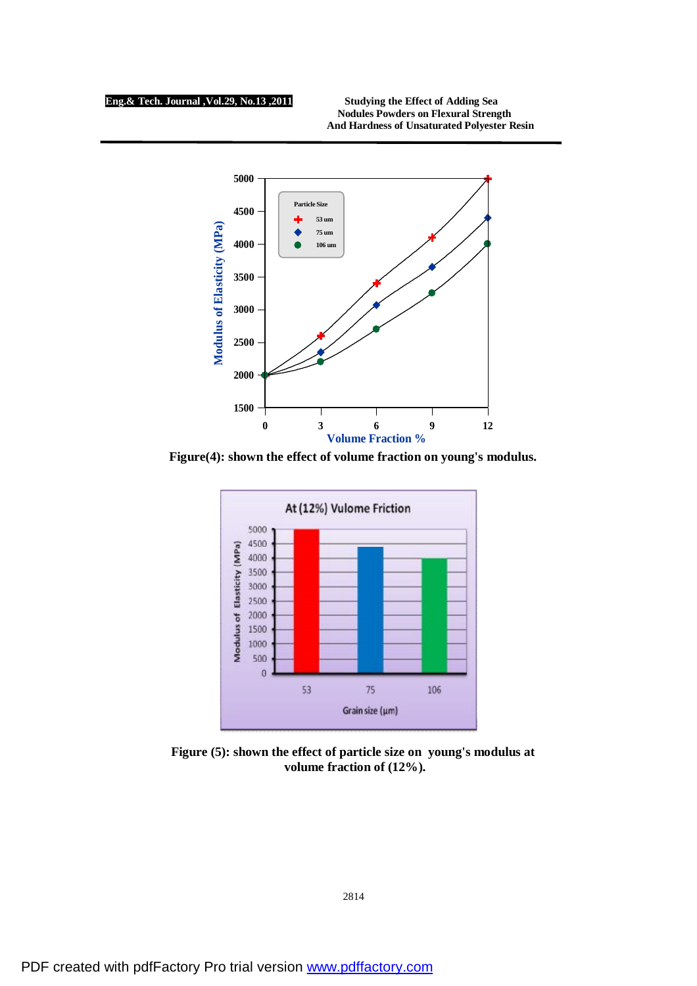**Nodules Powders on Flexural Strength And Hardness of Unsaturated Polyester Resin** 



**Figure(4): shown the effect of volume fraction on young's modulus.** 



 **volume fraction of (12%). Figure (5): shown the effect of particle size on young's modulus at**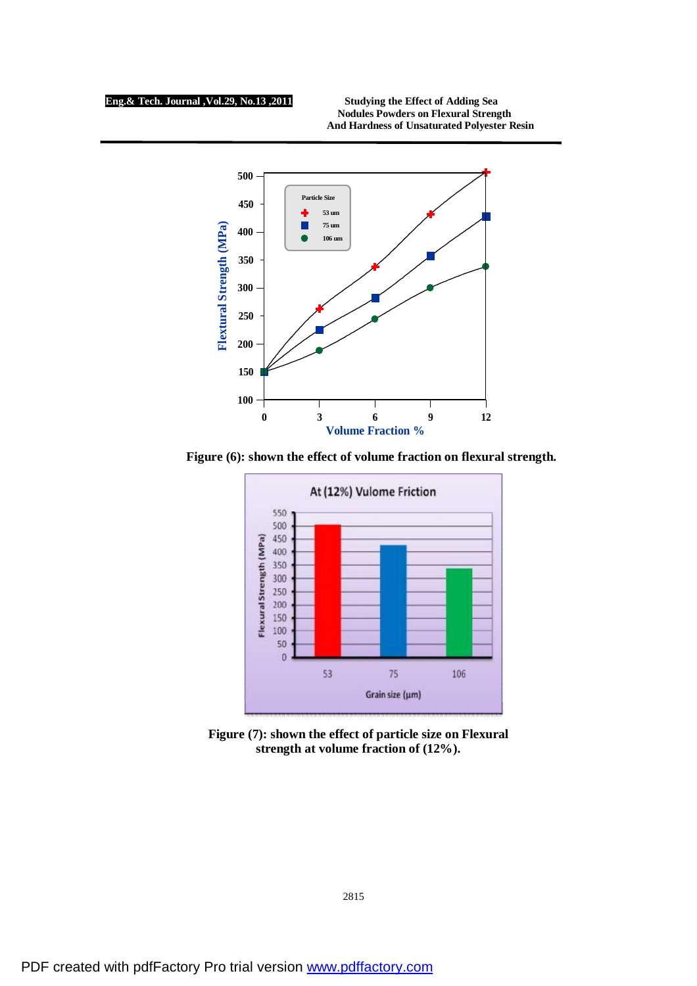**Nodules Powders on Flexural Strength And Hardness of Unsaturated Polyester Resin** 



**Figure (6): shown the effect of volume fraction on flexural strength.**



**Figure (7): shown the effect of particle size on Flexural strength at volume fraction of (12%).**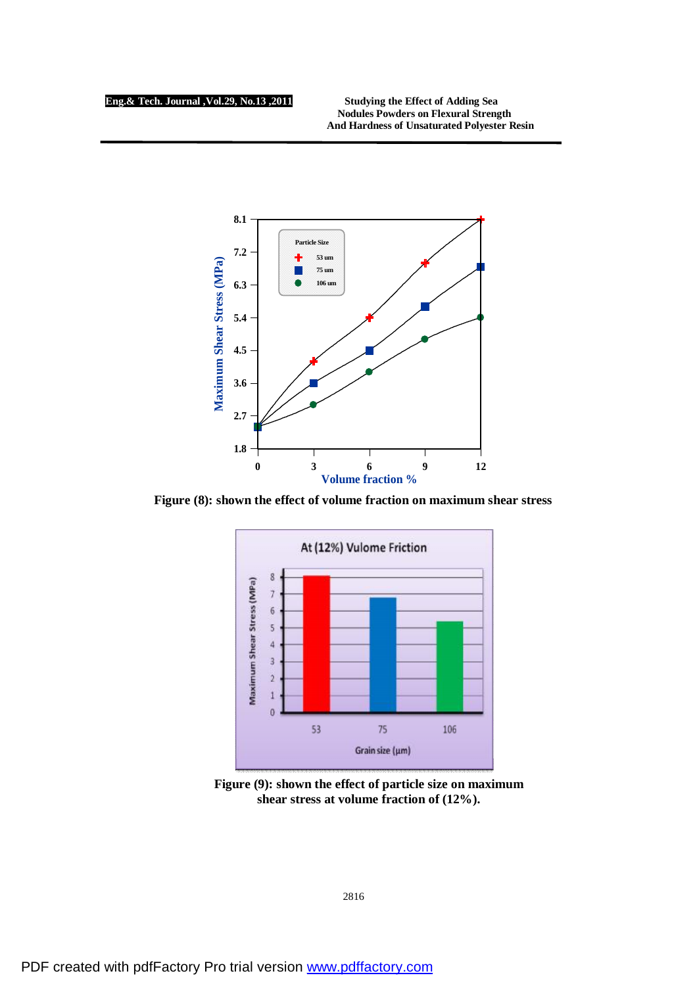**Nodules Powders on Flexural Strength And Hardness of Unsaturated Polyester Resin** 



**Figure (8): shown the effect of volume fraction on maximum shear stress**



**Figure (9): shown the effect of particle size on maximum shear stress at volume fraction of (12%).**